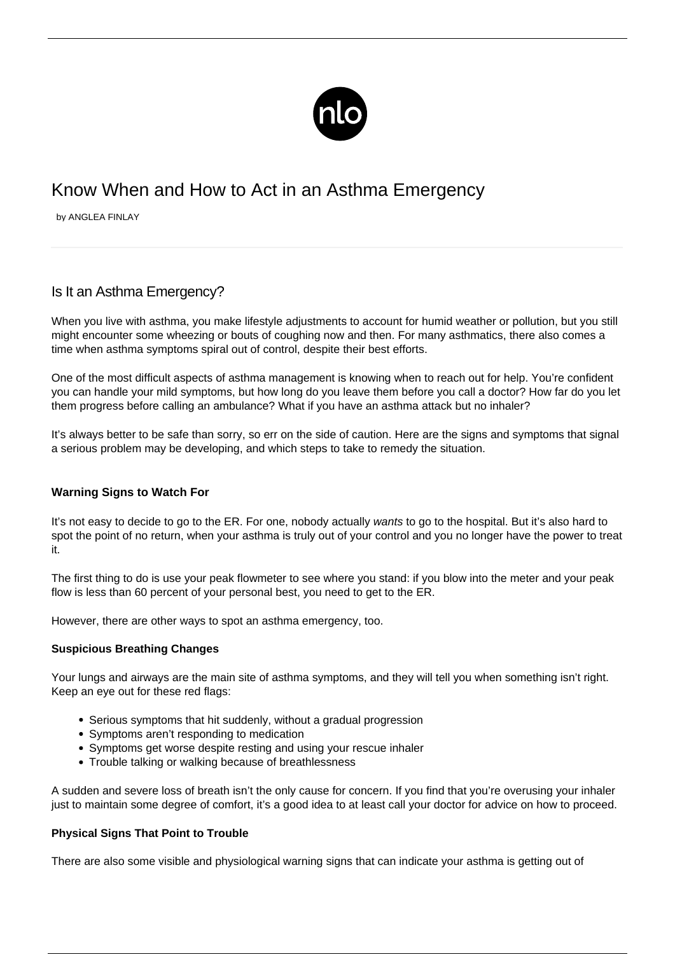

# Know When and How to Act in an Asthma Emergency

by ANGLEA FINLAY

# Is It an Asthma Emergency?

When you live with asthma, you make lifestyle adjustments to account for humid weather or pollution, but you still might encounter some wheezing or bouts of coughing now and then. For many asthmatics, there also comes a time when [asthma symptoms](/symptoms-asthma/) spiral out of control, despite their best efforts.

One of the most difficult aspects of asthma management is knowing when to reach out for help. You're confident you can handle your mild symptoms, but how long do you leave them before you call a doctor? How far do you let them progress before calling an ambulance? What if you have an [asthma attack but no inhaler](/asthma-attack-no-inhaler/)?

It's always better to be safe than sorry, so err on the side of caution. Here are the signs and symptoms that signal a serious problem may be developing, and which steps to take to remedy the situation.

## **Warning Signs to Watch For**

It's not easy to decide to go to the ER. For one, nobody actually wants to go to the hospital. But it's also hard to spot the point of no return, when your asthma is truly out of your control and you no longer have the power to treat it.

The first thing to do is use your peak flowmeter to see where you stand: if you blow into the meter and your peak flow is less than 60 percent of your personal best, you need to get to the ER.

However, there are other ways to spot an asthma emergency, too.

#### **Suspicious Breathing Changes**

Your lungs and airways are the main site of asthma symptoms, and they will tell you when something isn't right. Keep an eye out for these red flags:

- Serious symptoms that hit suddenly, without a gradual progression
- Symptoms aren't responding to medication
- Symptoms get worse despite resting and using your rescue inhaler
- Trouble talking or walking because of breathlessness

A sudden and severe loss of breath isn't the only cause for concern. If you find that you're overusing your inhaler just to maintain some degree of comfort, it's a good idea to at least call your doctor for advice on how to proceed.

#### **Physical Signs That Point to Trouble**

There are also some visible and physiological warning signs that can indicate your asthma is getting out of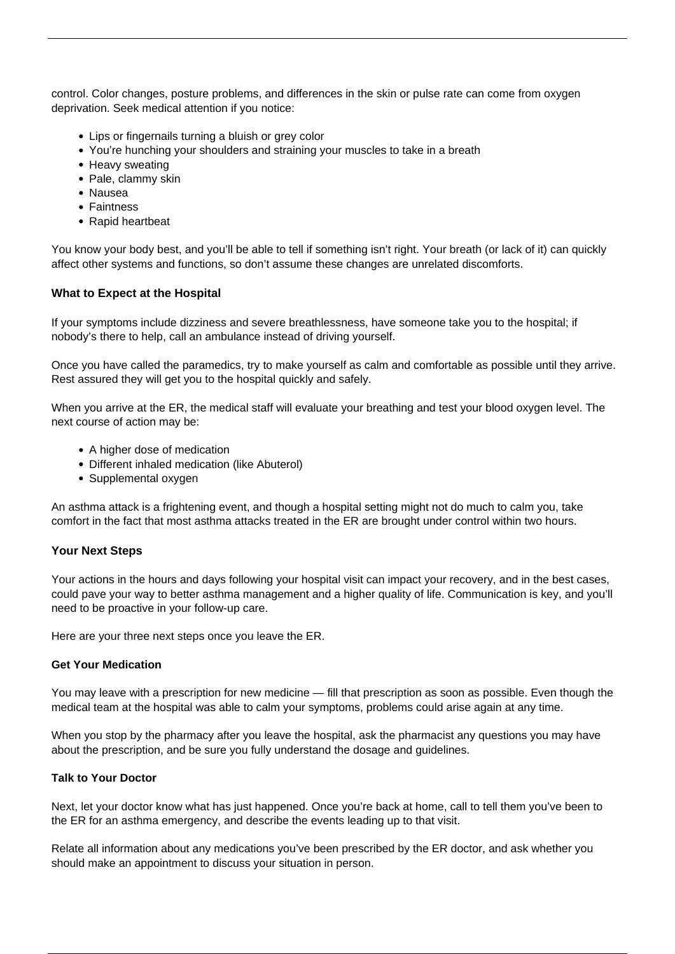control. Color changes, posture problems, and differences in the skin or pulse rate can come from oxygen deprivation. Seek medical attention if you notice:

- Lips or fingernails turning a bluish or grey color
- You're hunching your shoulders and straining your muscles to take in a breath
- Heavy sweating
- Pale, clammy skin
- Nausea
- Faintness
- Rapid heartbeat

You know your body best, and you'll be able to tell if something isn't right. Your breath (or lack of it) can quickly affect other systems and functions, so don't assume these changes are unrelated discomforts.

#### **What to Expect at the Hospital**

If your symptoms include dizziness and severe breathlessness, have someone take you to the hospital; if nobody's there to help, call an ambulance instead of driving yourself.

Once you have called the paramedics, try to make yourself as calm and comfortable as possible until they arrive. Rest assured they will get you to the hospital quickly and safely.

When you arrive at the ER, the medical staff will evaluate your breathing and test your blood oxygen level. The next course of action may be:

- A higher dose of medication
- Different inhaled medication (like Abuterol)
- Supplemental oxygen

An asthma attack is a frightening event, and though a hospital setting might not do much to calm you, take comfort in the fact that most asthma attacks treated in the ER are brought under control within two hours.

#### **Your Next Steps**

Your actions in the hours and days following your hospital visit can impact your recovery, and in the best cases, could pave your way to better asthma management and a higher quality of life. Communication is key, and you'll need to be proactive in your follow-up care.

Here are your three next steps once you leave the ER.

#### **Get Your Medication**

You may leave with a prescription for new medicine — fill that prescription as soon as possible. Even though the medical team at the hospital was able to calm your symptoms, problems could arise again at any time.

When you stop by the pharmacy after you leave the hospital, ask the pharmacist any questions you may have about the prescription, and be sure you fully understand the dosage and guidelines.

#### **Talk to Your Doctor**

Next, let your doctor know what has just happened. Once you're back at home, call to tell them you've been to the ER for an asthma emergency, and describe the events leading up to that visit.

Relate all information about any medications you've been prescribed by the ER doctor, and ask whether you should make an appointment to discuss your situation in person.